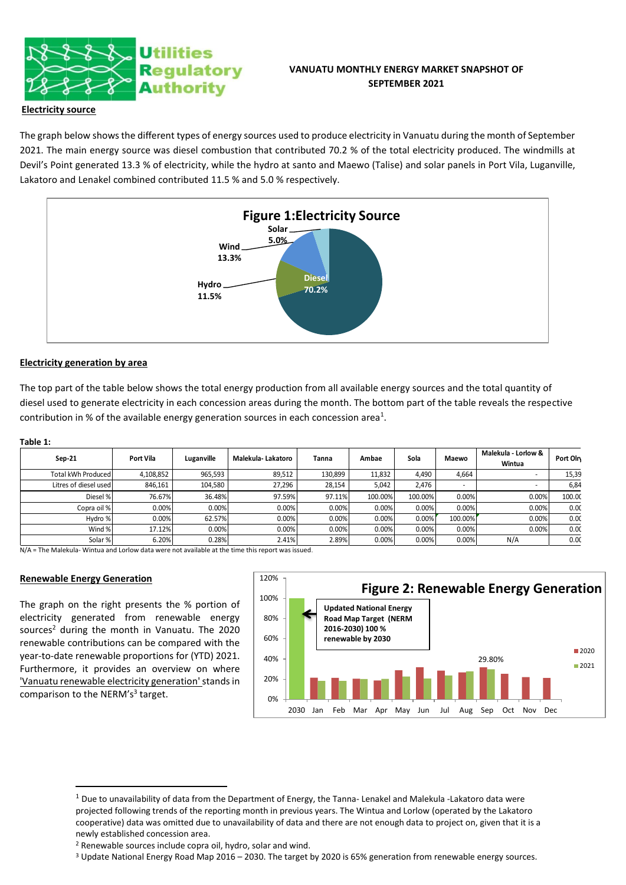

# **VANUATU MONTHLY ENERGY MARKET SNAPSHOT OF SEPTEMBER 2021**

## **Electricity source**

The graph below shows the different types of energy sources used to produce electricity in Vanuatu during the month of September 2021. The main energy source was diesel combustion that contributed 70.2 % of the total electricity produced. The windmills at Devil's Point generated 13.3 % of electricity, while the hydro at santo and Maewo (Talise) and solar panels in Port Vila, Luganville, Lakatoro and Lenakel combined contributed 11.5 % and 5.0 % respectively.



## **Electricity generation by area**

The top part of the table below shows the total energy production from all available energy sources and the total quantity of diesel used to generate electricity in each concession areas during the month. The bottom part of the table reveals the respective contribution in % of the available energy generation sources in each concession area<sup>1</sup>.

| а | nı | ıρ |  |
|---|----|----|--|
|   |    |    |  |

| $Sep-21$              | Port Vila | Luganville | Malekula- Lakatoro | Tanna   | Ambae   | Sola    | Maewo   | Malekula - Lorlow &<br>Wintua | Port Oln |
|-----------------------|-----------|------------|--------------------|---------|---------|---------|---------|-------------------------------|----------|
| Total kWh Produced    | 4,108,852 | 965,593    | 89,512             | 130,899 | 11,832  | 4,490   | 4.664   | $\sim$                        | 15,39    |
| Litres of diesel used | 846,161   | 104,580    | 27,296             | 28,154  | 5,042   | 2.476   | ۰       | $\sim$                        | 6,84     |
| Diesel %              | 76.67%    | 36.48%     | 97.59%             | 97.11%  | 100.00% | 100.00% | 0.00%   | 0.00%                         | 100.00   |
| Copra oil %           | 0.00%     | 0.00%      | 0.00%              | 0.00%   | 0.00%   | 0.00%   | 0.00%   | 0.00%                         | 0.00     |
| Hydro %               | 0.00%     | 62.57%     | 0.00%              | 0.00%   | 0.00%   | 0.00%   | 100.00% | 0.00%                         | 0.00     |
| Wind %                | 17.12%    | 0.00%      | 0.00%              | 0.00%   | 0.00%   | 0.00%   | 0.00%   | 0.00%                         | 0.00     |
| Solar %               | 6.20%     | 0.28%      | 2.41%              | 2.89%   | 0.00%   | 0.00%   | 0.00%   | N/A                           | 0.00     |

N/A = The Malekula- Wintua and Lorlow data were not available at the time this report was issued.

## **Renewable Energy Generation**

The graph on the right presents the % portion of electricity generated from renewable energy sources<sup>2</sup> during the month in Vanuatu. The 2020 renewable contributions can be compared with the year-to-date renewable proportions for (YTD) 2021. Furthermore, it provides an overview on where 'Vanuatu renewable electricity generation'stands in comparison to the NERM's<sup>3</sup> target.



<sup>3</sup> Update National Energy Road Map 2016 – 2030. The target by 2020 is 65% generation from renewable energy sources.

 $1$  Due to unavailability of data from the Department of Energy, the Tanna- Lenakel and Malekula -Lakatoro data were projected following trends of the reporting month in previous years. The Wintua and Lorlow (operated by the Lakatoro cooperative) data was omitted due to unavailability of data and there are not enough data to project on, given that it is a newly established concession area.

<sup>2</sup> Renewable sources include copra oil, hydro, solar and wind.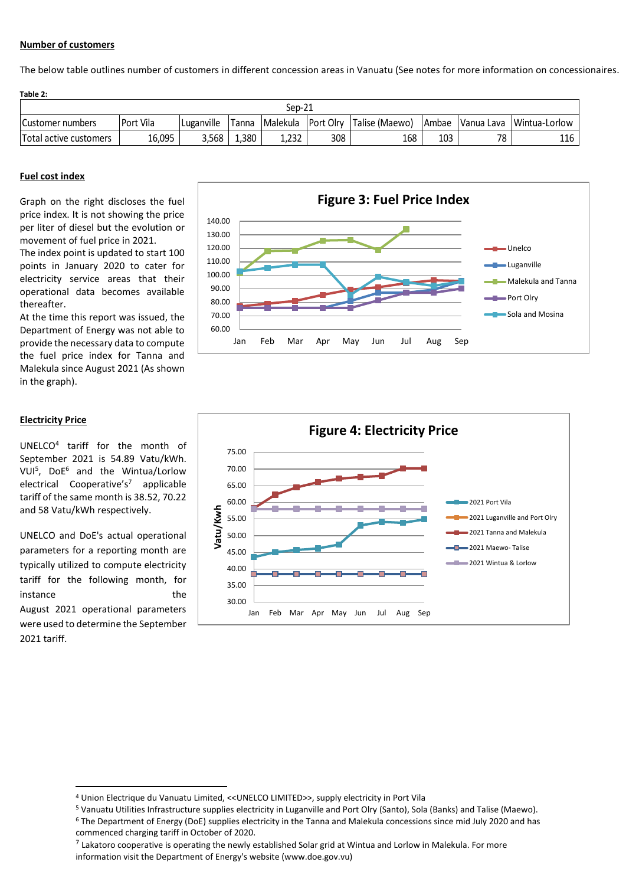### **Number of customers**

The below table outlines number of customers in different concession areas in Vanuatu (See notes for more information on concessionaires.

| Table 2:               |           |            |       |                    |     |                       |         |            |               |  |  |
|------------------------|-----------|------------|-------|--------------------|-----|-----------------------|---------|------------|---------------|--|--|
| Sep-21                 |           |            |       |                    |     |                       |         |            |               |  |  |
| Customer numbers       | Port Vila | Luganville | Tanna | Malekula Port Olry |     | <b>Talise (Maewo)</b> | l Ambae | Vanua Lava | Wintua-Lorlow |  |  |
| Total active customers | 16,095    | 3,568      | 1,380 | 1,232              | 308 | 168                   | 103     | 78         | 116           |  |  |

#### **Fuel cost index**

Graph on the right discloses the fuel price index. It is not showing the price per liter of diesel but the evolution or movement of fuel price in 2021.

The index point is updated to start 100 points in January 2020 to cater for electricity service areas that their operational data becomes available thereafter.

At the time this report was issued, the Department of Energy was not able to provide the necessary data to compute the fuel price index for Tanna and Malekula since August 2021 (As shown in the graph).



## **Electricity Price**

UNELCO<sup>4</sup> tariff for the month of September 2021 is 54.89 Vatu/kWh. VUI<sup>5</sup> , DoE<sup>6</sup> and the Wintua/Lorlow electrical Cooperative's<sup>7</sup> applicable tariff of the same month is 38.52, 70.22 and 58 Vatu/kWh respectively.

UNELCO and DoE's actual operational parameters for a reporting month are typically utilized to compute electricity tariff for the following month, for instance the the August 2021 operational parameters were used to determine the September 2021 tariff.



<sup>4</sup> Union Electrique du Vanuatu Limited, <<UNELCO LIMITED>>, supply electricity in Port Vila

<sup>5</sup> Vanuatu Utilities Infrastructure supplies electricity in Luganville and Port Olry (Santo), Sola (Banks) and Talise (Maewo).

<sup>6</sup> The Department of Energy (DoE) supplies electricity in the Tanna and Malekula concessions since mid July 2020 and has commenced charging tariff in October of 2020.

 $^7$  Lakatoro cooperative is operating the newly established Solar grid at Wintua and Lorlow in Malekula. For more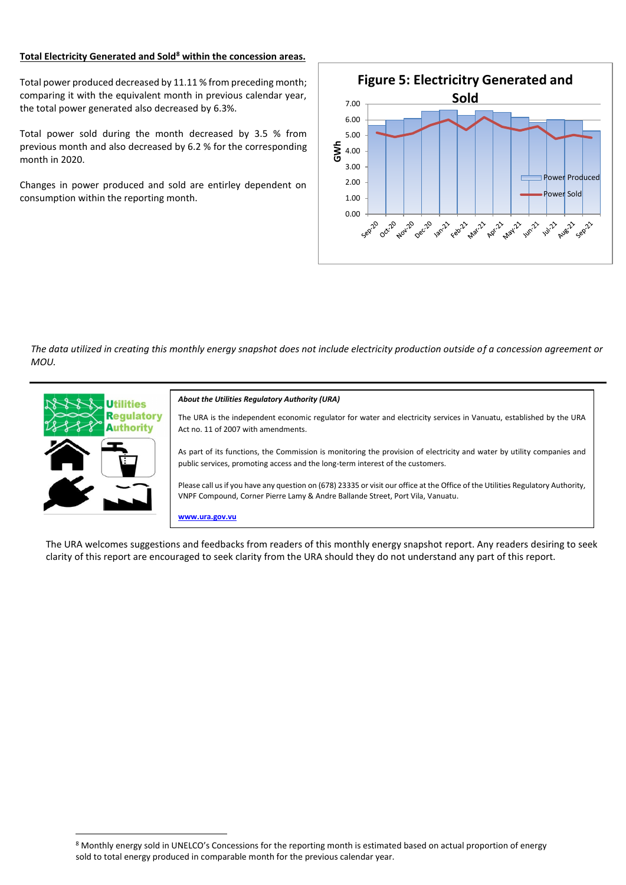### **Total Electricity Generated and Sold<sup>8</sup> within the concession areas.**

Total power produced decreased by 11.11 % from preceding month; comparing it with the equivalent month in previous calendar year, the total power generated also decreased by 6.3%.

Total power sold during the month decreased by 3.5 % from previous month and also decreased by 6.2 % for the corresponding month in 2020.

Changes in power produced and sold are entirley dependent on consumption within the reporting month.



*The data utilized in creating this monthly energy snapshot does not include electricity production outside of a concession agreement or MOU.*



The URA welcomes suggestions and feedbacks from readers of this monthly energy snapshot report. Any readers desiring to seek clarity of this report are encouraged to seek clarity from the URA should they do not understand any part of this report.

<sup>8</sup> Monthly energy sold in UNELCO's Concessions for the reporting month is estimated based on actual proportion of energy sold to total energy produced in comparable month for the previous calendar year.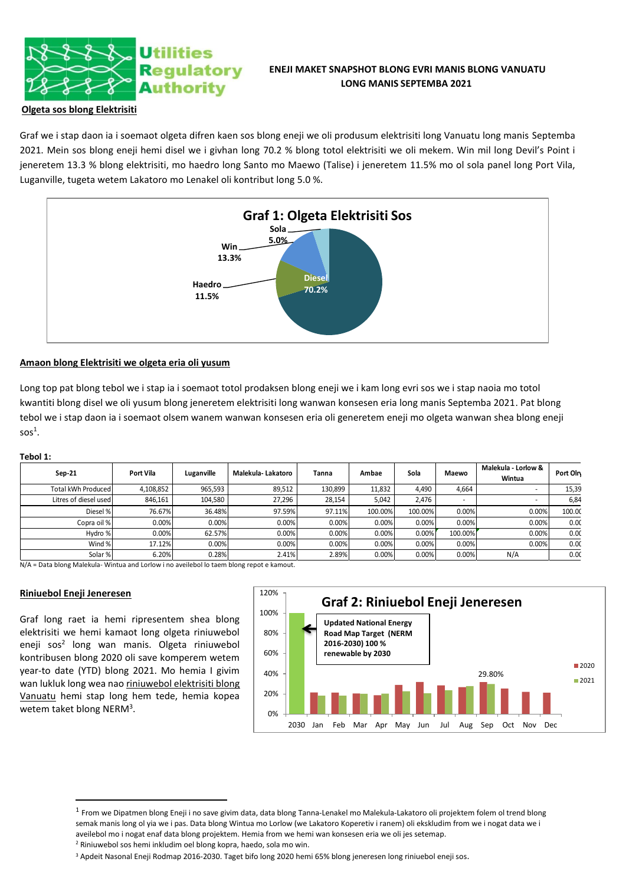

# **ENEJI MAKET SNAPSHOT BLONG EVRI MANIS BLONG VANUATU LONG MANIS SEPTEMBA 2021**

## **Olgeta sos blong Elektrisiti**

Graf we i stap daon ia i soemaot olgeta difren kaen sos blong eneji we oli produsum elektrisiti long Vanuatu long manis Septemba 2021. Mein sos blong eneji hemi disel we i givhan long 70.2 % blong totol elektrisiti we oli mekem. Win mil long Devil's Point i jeneretem 13.3 % blong elektrisiti, mo haedro long Santo mo Maewo (Talise) i jeneretem 11.5% mo ol sola panel long Port Vila, Luganville, tugeta wetem Lakatoro mo Lenakel oli kontribut long 5.0 %.



## **Amaon blong Elektrisiti we olgeta eria oli yusum**

Long top pat blong tebol we i stap ia i soemaot totol prodaksen blong eneji we i kam long evri sos we i stap naoia mo totol kwantiti blong disel we oli yusum blong jeneretem elektrisiti long wanwan konsesen eria long manis Septemba 2021. Pat blong tebol we i stap daon ia i soemaot olsem wanem wanwan konsesen eria oli generetem eneji mo olgeta wanwan shea blong eneji  $s$ os $^1$ .

### **Tebol 1:**

| Sep-21                | Port Vila | Luganville | Malekula- Lakatoro | Tanna   | Ambae   | Sola    | Maewo   | Malekula - Lorlow &<br>Wintua | Port Oln |
|-----------------------|-----------|------------|--------------------|---------|---------|---------|---------|-------------------------------|----------|
| Total kWh Produced    | 4,108,852 | 965,593    | 89,512             | 130,899 | 11,832  | 4.490   | 4,664   |                               | 15,39    |
| Litres of diesel used | 846,161   | 104,580    | 27,296             | 28,154  | 5,042   | 2.476   | ۰       |                               | 6,84     |
| Diesel %              | 76.67%    | 36.48%     | 97.59%             | 97.11%  | 100.00% | 100.00% | 0.00%   | 0.00%                         | 100.00   |
| Copra oil %           | 0.00%     | 0.00%      | 0.00%              | 0.00%   | 0.00%   | 0.00%   | 0.00%   | 0.00%                         | 0.00     |
| Hydro %               | 0.00%     | 62.57%     | 0.00%              | 0.00%   | 0.00%   | 0.00%   | 100.00% | 0.00%                         | 0.00     |
| Wind %                | 17.12%    | 0.00%      | 0.00%              | 0.00%   | 0.00%   | 0.00%   | 0.00%   | 0.00%                         | 0.00     |
| Solar %               | 6.20%     | 0.28%      | 2.41%              | 2.89%   | 0.00%   | 0.00%   | 0.00%   | N/A                           | 0.00     |

N/A = Data blong Malekula- Wintua and Lorlow i no aveilebol lo taem blong repot e kamout.

## **Riniuebol Eneji Jeneresen**

Graf long raet ia hemi ripresentem shea blong elektrisiti we hemi kamaot long olgeta riniuwebol eneji sos<sup>2</sup> long wan manis. Olgeta riniuwebol kontribusen blong 2020 oli save komperem wetem year-to date (YTD) blong 2021. Mo hemia I givim wan lukluk long wea nao riniuwebol elektrisiti blong Vanuatu hemi stap long hem tede, hemia kopea wetem taket blong NERM<sup>3</sup>.



<sup>&</sup>lt;sup>1</sup> From we Dipatmen blong Eneji i no save givim data, data blong Tanna-Lenakel mo Malekula-Lakatoro oli projektem folem ol trend blong semak manis long ol yia we i pas. Data blong Wintua mo Lorlow (we Lakatoro Koperetiv i ranem) oli ekskludim from we i nogat data we i aveilebol mo i nogat enaf data blong projektem. Hemia from we hemi wan konsesen eria we oli jes setemap. <sup>2</sup> Riniuwebol sos hemi inkludim oel blong kopra, haedo, sola mo win.

<sup>3</sup> Apdeit Nasonal Eneji Rodmap 2016-2030. Taget bifo long 2020 hemi 65% blong jeneresen long riniuebol eneji sos.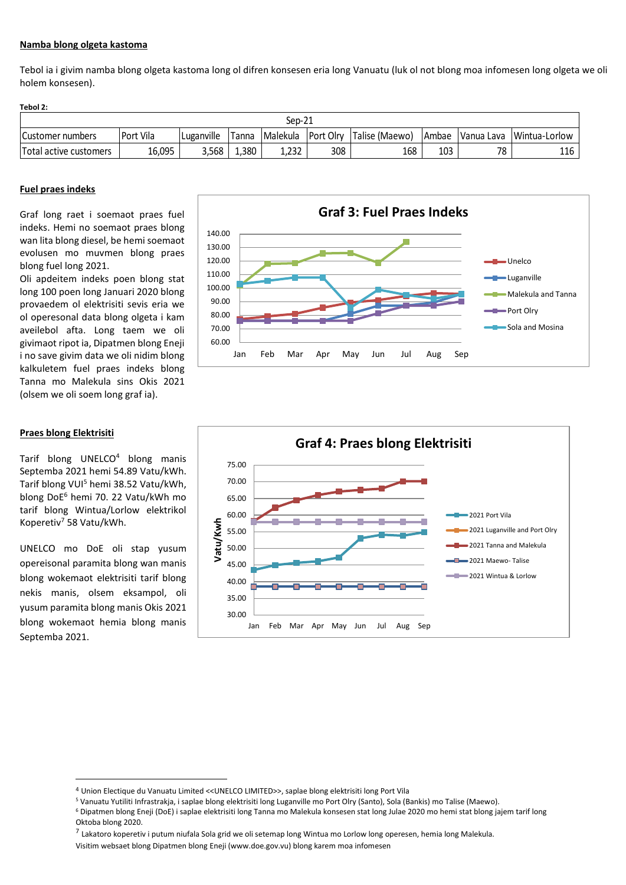### **Namba blong olgeta kastoma**

Tebol ia i givim namba blong olgeta kastoma long ol difren konsesen eria long Vanuatu (luk ol not blong moa infomesen long olgeta we oli holem konsesen).

#### **Tebol 2:**

| $Sep-21$                |           |            |       |          |           |                             |              |            |               |
|-------------------------|-----------|------------|-------|----------|-----------|-----------------------------|--------------|------------|---------------|
| <b>Customer numbers</b> | Port Vila | Luganville | Tanna | Malekula | Port Olry | <sup>I</sup> Talise (Maewo) | <b>Ambae</b> | Vanua Lava | Wintua-Lorlow |
| Total active customers  | 16,095    | 3,568      | 1,380 | 1,232    | 308       | 168                         | 103          | 70         | 116           |

### **Fuel praes indeks**

Graf long raet i soemaot praes fuel indeks. Hemi no soemaot praes blong wan lita blong diesel, be hemi soemaot evolusen mo muvmen blong praes blong fuel long 2021.

Oli apdeitem indeks poen blong stat long 100 poen long Januari 2020 blong provaedem ol elektrisiti sevis eria we ol operesonal data blong olgeta i kam aveilebol afta. Long taem we oli givimaot ripot ia, Dipatmen blong Eneji i no save givim data we oli nidim blong kalkuletem fuel praes indeks blong Tanna mo Malekula sins Okis 2021 (olsem we oli soem long graf ia).



Tarif blong UNELCO<sup>4</sup> blong manis Septemba 2021 hemi 54.89 Vatu/kWh. Tarif blong VUI<sup>5</sup> hemi 38.52 Vatu/kWh, blong DoE<sup>6</sup> hemi 70. 22 Vatu/kWh mo tarif blong Wintua/Lorlow elektrikol Koperetiv<sup>7</sup> 58 Vatu/kWh.

UNELCO mo DoE oli stap yusum opereisonal paramita blong wan manis blong wokemaot elektrisiti tarif blong nekis manis, olsem eksampol, oli yusum paramita blong manis Okis 2021 blong wokemaot hemia blong manis Septemba 2021.





<sup>4</sup> Union Electique du Vanuatu Limited <<UNELCO LIMITED>>, saplae blong elektrisiti long Port Vila

<sup>7</sup> Lakatoro koperetiv i putum niufala Sola grid we oli setemap long Wintua mo Lorlow long operesen, hemia long Malekula.

<sup>5</sup> Vanuatu Yutiliti Infrastrakja, i saplae blong elektrisiti long Luganville mo Port Olry (Santo), Sola (Bankis) mo Talise (Maewo).

<sup>6</sup> Dipatmen blong Eneji (DoE) i saplae elektrisiti long Tanna mo Malekula konsesen stat long Julae 2020 mo hemi stat blong jajem tarif long Oktoba blong 2020.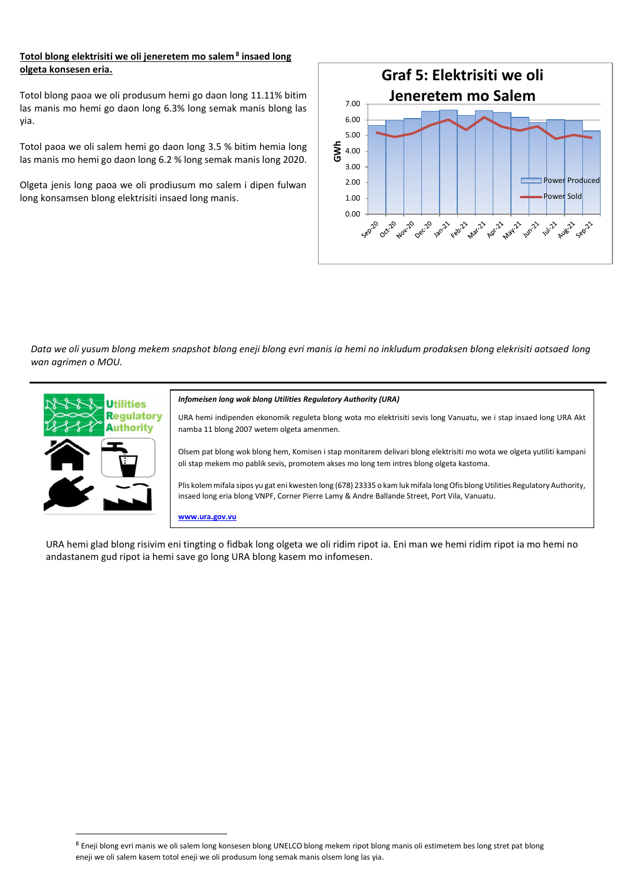## **Totol blong elektrisiti we oli jeneretem mo salem <sup>8</sup> insaed long olgeta konsesen eria.**

Totol blong paoa we oli produsum hemi go daon long 11.11% bitim las manis mo hemi go daon long 6.3% long semak manis blong las yia.

Totol paoa we oli salem hemi go daon long 3.5 % bitim hemia long las manis mo hemi go daon long 6.2 % long semak manis long 2020.

Olgeta jenis long paoa we oli prodiusum mo salem i dipen fulwan long konsamsen blong elektrisiti insaed long manis.



*Data we oli yusum blong mekem snapshot blong eneji blong evri manis ia hemi no inkludum prodaksen blong elekrisiti aotsaed long wan agrimen o MOU.*



#### *Infomeisen long wok blong Utilities Regulatory Authority (URA)*

URA hemi indipenden ekonomik reguleta blong wota mo elektrisiti sevis long Vanuatu, we i stap insaed long URA Akt namba 11 blong 2007 wetem olgeta amenmen.

Olsem pat blong wok blong hem, Komisen i stap monitarem delivari blong elektrisiti mo wota we olgeta yutiliti kampani oli stap mekem mo pablik sevis, promotem akses mo long tem intres blong olgeta kastoma.

Plis kolem mifala sipos yu gat eni kwesten long (678) 23335 o kam luk mifala long Ofis blong Utilities Regulatory Authority, insaed long eria blong VNPF, Corner Pierre Lamy & Andre Ballande Street, Port Vila, Vanuatu.

**www.ura.gov.vu**

URA hemi glad blong risivim eni tingting o fidbak long olgeta we oli ridim ripot ia. Eni man we hemi ridim ripot ia mo hemi no andastanem gud ripot ia hemi save go long URA blong kasem mo infomesen.

<sup>8</sup> Eneji blong evri manis we oli salem long konsesen blong UNELCO blong mekem ripot blong manis oli estimetem bes long stret pat blong eneji we oli salem kasem totol eneji we oli produsum long semak manis olsem long las yia.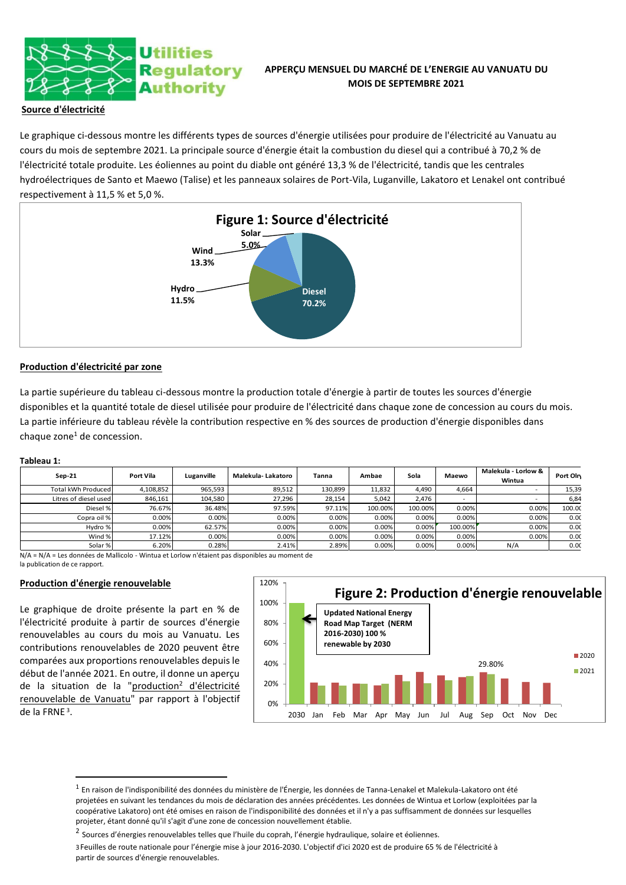

# **APPERÇU MENSUEL DU MARCHÉ DE L'ENERGIE AU VANUATU DU MOIS DE SEPTEMBRE 2021**

## **Source d'électricité**

Le graphique ci-dessous montre les différents types de sources d'énergie utilisées pour produire de l'électricité au Vanuatu au cours du mois de septembre 2021. La principale source d'énergie était la combustion du diesel qui a contribué à 70,2 % de l'électricité totale produite. Les éoliennes au point du diable ont généré 13,3 % de l'électricité, tandis que les centrales hydroélectriques de Santo et Maewo (Talise) et les panneaux solaires de Port-Vila, Luganville, Lakatoro et Lenakel ont contribué respectivement à 11,5 % et 5,0 %.



### **Production d'électricité par zone**

La partie supérieure du tableau ci-dessous montre la production totale d'énergie à partir de toutes les sources d'énergie disponibles et la quantité totale de diesel utilisée pour produire de l'électricité dans chaque zone de concession au cours du mois. La partie inférieure du tableau révèle la contribution respective en % des sources de production d'énergie disponibles dans chaque zone $<sup>1</sup>$  de concession.</sup>

#### **Tableau 1:**

| $Sep-21$              | Port Vila | Luganville | Malekula-Lakatoro | Tanna   | Ambae   | Sola    | Maewo   | Malekula - Lorlow &<br>Wintua | Port Oln |
|-----------------------|-----------|------------|-------------------|---------|---------|---------|---------|-------------------------------|----------|
| Total kWh Produced    | 4,108,852 | 965,593    | 89,512            | 130,899 | 11,832  | 4.490   | 4.664   |                               | 15,39    |
| Litres of diesel used | 846,161   | 104,580    | 27,296            | 28.154  | 5.042   | 2.476   | ۰       |                               | 6,84     |
| Diesel %              | 76.67%    | 36.48%     | 97.59%            | 97.11%  | 100.00% | 100.00% | 0.00%   | 0.00%                         | 100.00   |
| Copra oil %           | 0.00%     | 0.00%      | 0.00%             | 0.00%   | 0.00%   | 0.00%   | 0.00%   | 0.00%                         | 0.00     |
| Hydro %               | 0.00%     | 62.57%     | 0.00%             | 0.00%   | 0.00%   | 0.00%   | 100.00% | 0.00%                         | 0.00     |
| Wind %                | 17.12%    | 0.00%      | 0.00%             | 0.00%   | 0.00%   | 0.00%   | 0.00%   | 0.00%                         | 0.00     |
| Solar %               | 6.20%     | 0.28%      | 2.41%             | 2.89%   | 0.00%   | 0.00%   | 0.00%   | N/A                           | 0.00     |

N/A = N/A = Les données de Mallicolo - Wintua et Lorlow n'étaient pas disponibles au moment de la publication de ce rapport.

### **Production d'énergie renouvelable**

Le graphique de droite présente la part en % de l'électricité produite à partir de sources d'énergie renouvelables au cours du mois au Vanuatu. Les contributions renouvelables de 2020 peuvent être comparées aux proportions renouvelables depuis le début de l'année 2021. En outre, il donne un aperçu de la situation de la "production<sup>2</sup> d'électricité renouvelable de Vanuatu" par rapport à l'objectif de la FRNE <sup>3</sup> .



 $^{\rm 1}$  En raison de l'indisponibilité des données du ministère de l'Énergie, les données de Tanna-Lenakel et Malekula-Lakatoro ont été projetées en suivant les tendances du mois de déclaration des années précédentes. Les données de Wintua et Lorlow (exploitées par la coopérative Lakatoro) ont été omises en raison de l'indisponibilité des données et il n'y a pas suffisamment de données sur lesquelles projeter, étant donné qu'il s'agit d'une zone de concession nouvellement établie.

<sup>&</sup>lt;sup>2</sup> Sources d'énergies renouvelables telles que l'huile du coprah, l'énergie hydraulique, solaire et éoliennes.

<sup>3</sup>Feuilles de route nationale pour l'énergie mise à jour 2016-2030. L'objectif d'ici 2020 est de produire 65 % de l'électricité à partir de sources d'énergie renouvelables.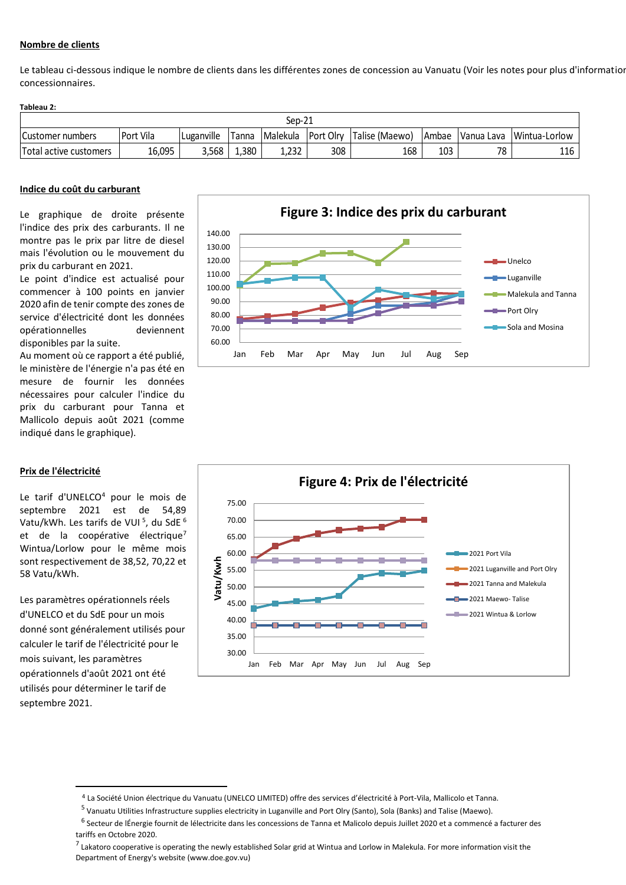## **Nombre de clients**

Le tableau ci-dessous indique le nombre de clients dans les différentes zones de concession au Vanuatu (Voir les notes pour plus d'information concessionnaires.

#### **Tableau 2:**

| ົາ1<br>Sep-21           |           |            |       |          |            |                |       |             |               |
|-------------------------|-----------|------------|-------|----------|------------|----------------|-------|-------------|---------------|
| <b>Customer numbers</b> | Port Vila | Luganville | Tanna | Malekula | lPort Olrv | Talise (Maewo) | Ambae | IVanua Lava | Wintua-Lorlow |
| Total active customers  | 16,095    | 3.568      | 1,380 | 1,232    | 308        | 168            | 103   | 78          | 116           |

### **Indice du coût du carburant**

Le graphique de droite présente l'indice des prix des carburants. Il ne montre pas le prix par litre de diesel mais l'évolution ou le mouvement du prix du carburant en 2021.

Le point d'indice est actualisé pour commencer à 100 points en janvier 2020 afin de tenir compte des zones de service d'électricité dont les données opérationnelles deviennent disponibles par la suite.

Au moment où ce rapport a été publié, le ministère de l'énergie n'a pas été en mesure de fournir les données nécessaires pour calculer l'indice du prix du carburant pour Tanna et Mallicolo depuis août 2021 (comme indiqué dans le graphique).

## **Prix de l'électricité**

Le tarif d'UNELCO<sup>4</sup> pour le mois de septembre 2021 est de 54,89 Vatu/kWh. Les tarifs de VUI <sup>5</sup>, du SdE <sup>6</sup> et de la coopérative électrique<sup>7</sup> Wintua/Lorlow pour le même mois sont respectivement de 38,52, 70,22 et 58 Vatu/kWh.

Les paramètres opérationnels réels d'UNELCO et du SdE pour un mois donné sont généralement utilisés pour calculer le tarif de l'électricité pour le mois suivant, les paramètres opérationnels d'août 2021 ont été utilisés pour déterminer le tarif de septembre 2021.





<sup>4</sup> La Société Union électrique du Vanuatu (UNELCO LIMITED) offre des services d'électricité à Port-Vila, Mallicolo et Tanna.

<sup>&</sup>lt;sup>5</sup> Vanuatu Utilities Infrastructure supplies electricity in Luganville and Port Olry (Santo), Sola (Banks) and Talise (Maewo).

<sup>&</sup>lt;sup>6</sup> Secteur de lÉnergie fournit de lélectricite dans les concessions de Tanna et Malicolo depuis Juillet 2020 et a commencé a facturer des tariffs en Octobre 2020.

<sup>&</sup>lt;sup>7</sup> Lakatoro cooperative is operating the newly established Solar grid at Wintua and Lorlow in Malekula. For more information visit the Department of Energy's website (www.doe.gov.vu)